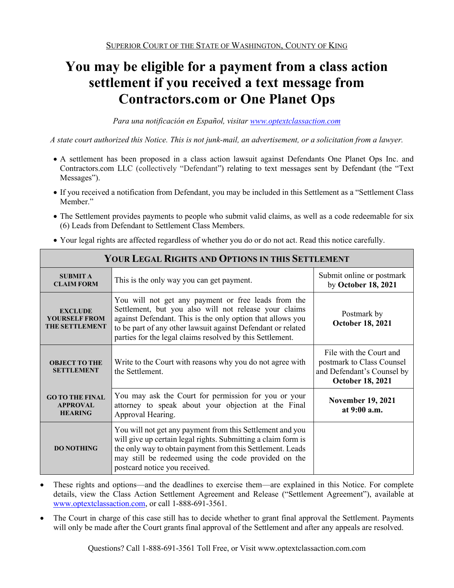# **You may be eligible for a payment from a class action settlement if you received a text message from Contractors.com or One Planet Ops**

*Para una notificación en Español, visitar www.optextclassaction.com*

*A state court authorized this Notice. This is not junk-mail, an advertisement, or a solicitation from a lawyer.*

- A settlement has been proposed in a class action lawsuit against Defendants One Planet Ops Inc. and Contractors.com LLC (collectively "Defendant") relating to text messages sent by Defendant (the "Text Messages").
- If you received a notification from Defendant, you may be included in this Settlement as a "Settlement Class Member."
- The Settlement provides payments to people who submit valid claims, as well as a code redeemable for six (6) Leads from Defendant to Settlement Class Members.

| <b>YOUR LEGAL RIGHTS AND OPTIONS IN THIS SETTLEMENT</b>                                                                                                                                         |                                                                                                                                                                                                                                                                                                         |                                                                                                               |  |  |
|-------------------------------------------------------------------------------------------------------------------------------------------------------------------------------------------------|---------------------------------------------------------------------------------------------------------------------------------------------------------------------------------------------------------------------------------------------------------------------------------------------------------|---------------------------------------------------------------------------------------------------------------|--|--|
| <b>SUBMIT A</b><br><b>CLAIM FORM</b>                                                                                                                                                            | This is the only way you can get payment.                                                                                                                                                                                                                                                               | Submit online or postmark<br>by October 18, 2021                                                              |  |  |
| <b>EXCLUDE</b><br><b>YOURSELF FROM</b><br><b>THE SETTLEMENT</b>                                                                                                                                 | You will not get any payment or free leads from the<br>Settlement, but you also will not release your claims<br>against Defendant. This is the only option that allows you<br>to be part of any other lawsuit against Defendant or related<br>parties for the legal claims resolved by this Settlement. | Postmark by<br><b>October 18, 2021</b>                                                                        |  |  |
| <b>OBJECT TO THE</b><br><b>SETTLEMENT</b>                                                                                                                                                       | Write to the Court with reasons why you do not agree with<br>the Settlement.                                                                                                                                                                                                                            | File with the Court and<br>postmark to Class Counsel<br>and Defendant's Counsel by<br><b>October 18, 2021</b> |  |  |
| You may ask the Court for permission for you or your<br><b>GO TO THE FINAL</b><br>attorney to speak about your objection at the Final<br><b>APPROVAL</b><br><b>HEARING</b><br>Approval Hearing. |                                                                                                                                                                                                                                                                                                         | <b>November 19, 2021</b><br>at 9:00 a.m.                                                                      |  |  |
| <b>DO NOTHING</b>                                                                                                                                                                               | You will not get any payment from this Settlement and you<br>will give up certain legal rights. Submitting a claim form is<br>the only way to obtain payment from this Settlement. Leads<br>may still be redeemed using the code provided on the<br>postcard notice you received.                       |                                                                                                               |  |  |

Your legal rights are affected regardless of whether you do or do not act. Read this notice carefully.

- These rights and options—and the deadlines to exercise them—are explained in this Notice. For complete details, view the Class Action Settlement Agreement and Release ("Settlement Agreement"), available at www.optextclassaction.com, or call 1-888-691-3561.
- The Court in charge of this case still has to decide whether to grant final approval the Settlement. Payments will only be made after the Court grants final approval of the Settlement and after any appeals are resolved.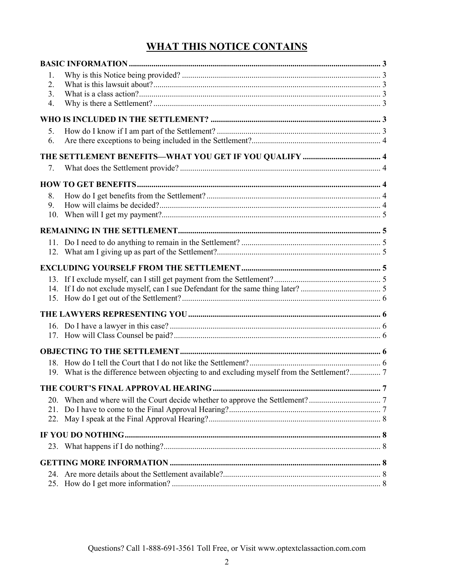## **WHAT THIS NOTICE CONTAINS**

| 1.<br>2.<br>3.<br>4. |                                                                                             |  |
|----------------------|---------------------------------------------------------------------------------------------|--|
|                      |                                                                                             |  |
| 5.<br>6.             |                                                                                             |  |
|                      |                                                                                             |  |
| 7.                   |                                                                                             |  |
|                      |                                                                                             |  |
| 8.<br>9.             |                                                                                             |  |
|                      |                                                                                             |  |
|                      |                                                                                             |  |
|                      |                                                                                             |  |
|                      |                                                                                             |  |
|                      |                                                                                             |  |
|                      |                                                                                             |  |
|                      |                                                                                             |  |
|                      | 19. What is the difference between objecting to and excluding myself from the Settlement? 7 |  |
|                      |                                                                                             |  |
| 20.<br>21.<br>22.    |                                                                                             |  |
|                      |                                                                                             |  |
|                      |                                                                                             |  |
|                      |                                                                                             |  |
| 24.                  |                                                                                             |  |
| 25.                  |                                                                                             |  |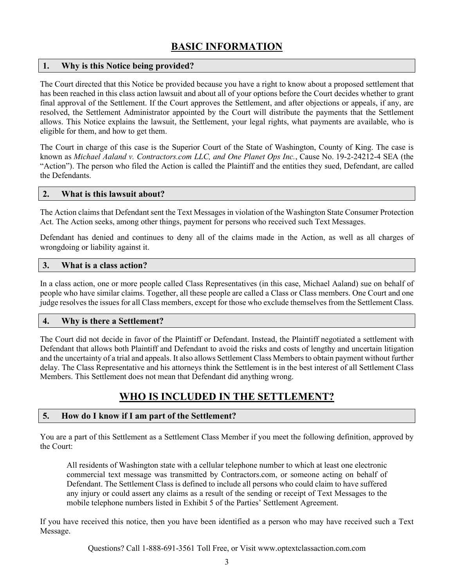## **BASIC INFORMATION**

#### **1. Why is this Notice being provided?**

The Court directed that this Notice be provided because you have a right to know about a proposed settlement that has been reached in this class action lawsuit and about all of your options before the Court decides whether to grant final approval of the Settlement. If the Court approves the Settlement, and after objections or appeals, if any, are resolved, the Settlement Administrator appointed by the Court will distribute the payments that the Settlement allows. This Notice explains the lawsuit, the Settlement, your legal rights, what payments are available, who is eligible for them, and how to get them.

The Court in charge of this case is the Superior Court of the State of Washington, County of King. The case is known as *Michael Aaland v. Contractors.com LLC, and One Planet Ops Inc.*, Cause No. 19-2-24212-4 SEA (the "Action"). The person who filed the Action is called the Plaintiff and the entities they sued, Defendant, are called the Defendants.

#### **2. What is this lawsuit about?**

The Action claims that Defendant sent the Text Messages in violation of the Washington State Consumer Protection Act. The Action seeks, among other things, payment for persons who received such Text Messages.

Defendant has denied and continues to deny all of the claims made in the Action, as well as all charges of wrongdoing or liability against it.

#### **3. What is a class action?**

In a class action, one or more people called Class Representatives (in this case, Michael Aaland) sue on behalf of people who have similar claims. Together, all these people are called a Class or Class members. One Court and one judge resolves the issues for all Class members, except for those who exclude themselves from the Settlement Class.

#### **4. Why is there a Settlement?**

The Court did not decide in favor of the Plaintiff or Defendant. Instead, the Plaintiff negotiated a settlement with Defendant that allows both Plaintiff and Defendant to avoid the risks and costs of lengthy and uncertain litigation and the uncertainty of a trial and appeals. It also allows Settlement Class Members to obtain payment without further delay. The Class Representative and his attorneys think the Settlement is in the best interest of all Settlement Class Members. This Settlement does not mean that Defendant did anything wrong.

## **WHO IS INCLUDED IN THE SETTLEMENT?**

#### **5. How do I know if I am part of the Settlement?**

You are a part of this Settlement as a Settlement Class Member if you meet the following definition, approved by the Court:

All residents of Washington state with a cellular telephone number to which at least one electronic commercial text message was transmitted by Contractors.com, or someone acting on behalf of Defendant. The Settlement Class is defined to include all persons who could claim to have suffered any injury or could assert any claims as a result of the sending or receipt of Text Messages to the mobile telephone numbers listed in Exhibit 5 of the Parties' Settlement Agreement.

If you have received this notice, then you have been identified as a person who may have received such a Text Message.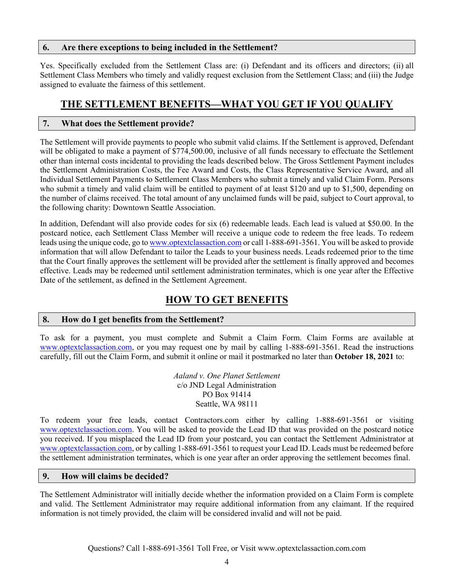#### **6. Are there exceptions to being included in the Settlement?**

Yes. Specifically excluded from the Settlement Class are: (i) Defendant and its officers and directors; (ii) all Settlement Class Members who timely and validly request exclusion from the Settlement Class; and (iii) the Judge assigned to evaluate the fairness of this settlement.

## **THE SETTLEMENT BENEFITS—WHAT YOU GET IF YOU QUALIFY**

#### **7. What does the Settlement provide?**

The Settlement will provide payments to people who submit valid claims. If the Settlement is approved, Defendant will be obligated to make a payment of \$774,500.00, inclusive of all funds necessary to effectuate the Settlement other than internal costs incidental to providing the leads described below. The Gross Settlement Payment includes the Settlement Administration Costs, the Fee Award and Costs, the Class Representative Service Award, and all Individual Settlement Payments to Settlement Class Members who submit a timely and valid Claim Form. Persons who submit a timely and valid claim will be entitled to payment of at least \$120 and up to \$1,500, depending on the number of claims received. The total amount of any unclaimed funds will be paid, subject to Court approval, to the following charity: Downtown Seattle Association.

In addition, Defendant will also provide codes for six (6) redeemable leads. Each lead is valued at \$50.00. In the postcard notice, each Settlement Class Member will receive a unique code to redeem the free leads. To redeem leads using the unique code, go to www.optextclassaction.com or call 1-888-691-3561. You will be asked to provide information that will allow Defendant to tailor the Leads to your business needs. Leads redeemed prior to the time that the Court finally approves the settlement will be provided after the settlement is finally approved and becomes effective. Leads may be redeemed until settlement administration terminates, which is one year after the Effective Date of the settlement, as defined in the Settlement Agreement.

## **HOW TO GET BENEFITS**

#### **8. How do I get benefits from the Settlement?**

To ask for a payment, you must complete and Submit a Claim Form. Claim Forms are available at www.optextclassaction.com, or you may request one by mail by calling 1-888-691-3561. Read the instructions carefully, fill out the Claim Form, and submit it online or mail it postmarked no later than **October 18, 2021** to:

> *Aaland v. One Planet Settlement*  c/o JND Legal Administration PO Box 91414 Seattle, WA 98111

To redeem your free leads, contact Contractors.com either by calling 1-888-691-3561 or visiting www.optextclassaction.com. You will be asked to provide the Lead ID that was provided on the postcard notice you received. If you misplaced the Lead ID from your postcard, you can contact the Settlement Administrator at www.optextclassaction.com, or by calling 1-888-691-3561 to request your Lead ID. Leads must be redeemed before the settlement administration terminates, which is one year after an order approving the settlement becomes final.

#### **9. How will claims be decided?**

The Settlement Administrator will initially decide whether the information provided on a Claim Form is complete and valid. The Settlement Administrator may require additional information from any claimant. If the required information is not timely provided, the claim will be considered invalid and will not be paid.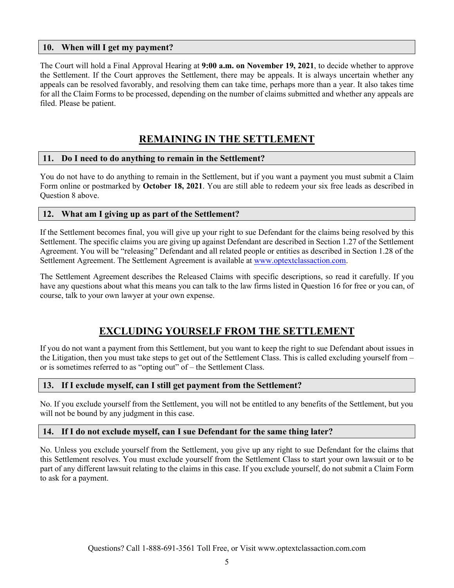#### **10. When will I get my payment?**

The Court will hold a Final Approval Hearing at **9:00 a.m. on November 19, 2021**, to decide whether to approve the Settlement. If the Court approves the Settlement, there may be appeals. It is always uncertain whether any appeals can be resolved favorably, and resolving them can take time, perhaps more than a year. It also takes time for all the Claim Forms to be processed, depending on the number of claims submitted and whether any appeals are filed. Please be patient.

## **REMAINING IN THE SETTLEMENT**

#### **11. Do I need to do anything to remain in the Settlement?**

You do not have to do anything to remain in the Settlement, but if you want a payment you must submit a Claim Form online or postmarked by **October 18, 2021**. You are still able to redeem your six free leads as described in Question 8 above.

#### **12. What am I giving up as part of the Settlement?**

If the Settlement becomes final, you will give up your right to sue Defendant for the claims being resolved by this Settlement. The specific claims you are giving up against Defendant are described in Section 1.27 of the Settlement Agreement. You will be "releasing" Defendant and all related people or entities as described in Section 1.28 of the Settlement Agreement. The Settlement Agreement is available at www.optextclassaction.com.

The Settlement Agreement describes the Released Claims with specific descriptions, so read it carefully. If you have any questions about what this means you can talk to the law firms listed in Question 16 for free or you can, of course, talk to your own lawyer at your own expense.

## **EXCLUDING YOURSELF FROM THE SETTLEMENT**

If you do not want a payment from this Settlement, but you want to keep the right to sue Defendant about issues in the Litigation, then you must take steps to get out of the Settlement Class. This is called excluding yourself from – or is sometimes referred to as "opting out" of – the Settlement Class.

#### **13. If I exclude myself, can I still get payment from the Settlement?**

No. If you exclude yourself from the Settlement, you will not be entitled to any benefits of the Settlement, but you will not be bound by any judgment in this case.

#### **14. If I do not exclude myself, can I sue Defendant for the same thing later?**

No. Unless you exclude yourself from the Settlement, you give up any right to sue Defendant for the claims that this Settlement resolves. You must exclude yourself from the Settlement Class to start your own lawsuit or to be part of any different lawsuit relating to the claims in this case. If you exclude yourself, do not submit a Claim Form to ask for a payment.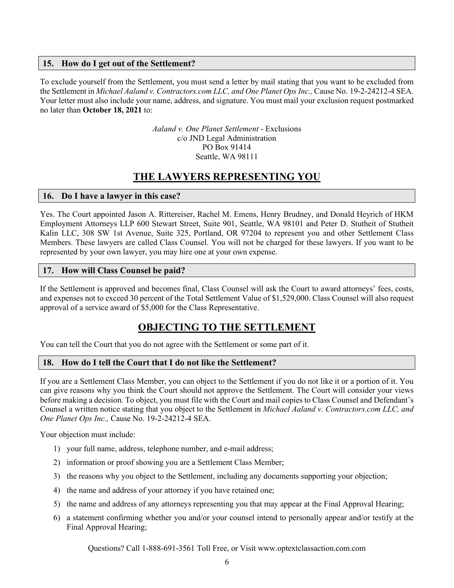#### **15. How do I get out of the Settlement?**

To exclude yourself from the Settlement, you must send a letter by mail stating that you want to be excluded from the Settlement in *Michael Aaland v. Contractors.com LLC, and One Planet Ops Inc.,* Cause No. 19-2-24212-4 SEA. Your letter must also include your name, address, and signature. You must mail your exclusion request postmarked no later than **October 18, 2021** to:

> *Aaland v. One Planet Settlement* - Exclusions c/o JND Legal Administration PO Box 91414 Seattle, WA 98111

## **THE LAWYERS REPRESENTING YOU**

#### **16. Do I have a lawyer in this case?**

Yes. The Court appointed Jason A. Rittereiser, Rachel M. Emens, Henry Brudney, and Donald Heyrich of HKM Employment Attorneys LLP 600 Stewart Street, Suite 901, Seattle, WA 98101 and Peter D. Stutheit of Stutheit Kalin LLC, 308 SW 1st Avenue, Suite 325, Portland, OR 97204 to represent you and other Settlement Class Members. These lawyers are called Class Counsel. You will not be charged for these lawyers. If you want to be represented by your own lawyer, you may hire one at your own expense.

#### **17. How will Class Counsel be paid?**

If the Settlement is approved and becomes final, Class Counsel will ask the Court to award attorneys' fees, costs, and expenses not to exceed 30 percent of the Total Settlement Value of \$1,529,000. Class Counsel will also request approval of a service award of \$5,000 for the Class Representative.

## **OBJECTING TO THE SETTLEMENT**

You can tell the Court that you do not agree with the Settlement or some part of it.

#### **18. How do I tell the Court that I do not like the Settlement?**

If you are a Settlement Class Member, you can object to the Settlement if you do not like it or a portion of it. You can give reasons why you think the Court should not approve the Settlement. The Court will consider your views before making a decision. To object, you must file with the Court and mail copies to Class Counsel and Defendant's Counsel a written notice stating that you object to the Settlement in *Michael Aaland v. Contractors.com LLC, and One Planet Ops Inc.,* Cause No. 19-2-24212-4 SEA.

Your objection must include:

- 1) your full name, address, telephone number, and e-mail address;
- 2) information or proof showing you are a Settlement Class Member;
- 3) the reasons why you object to the Settlement, including any documents supporting your objection;
- 4) the name and address of your attorney if you have retained one;
- 5) the name and address of any attorneys representing you that may appear at the Final Approval Hearing;
- 6) a statement confirming whether you and/or your counsel intend to personally appear and/or testify at the Final Approval Hearing;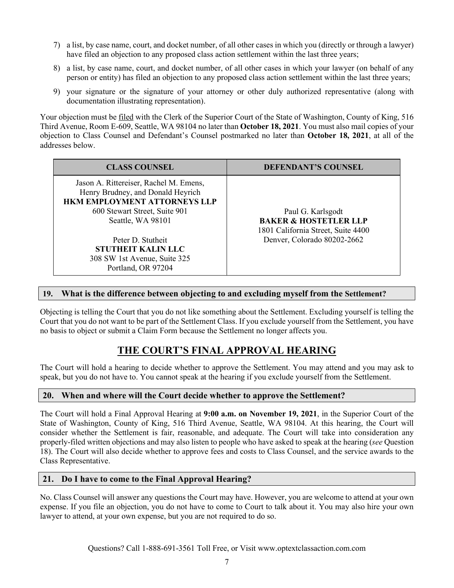- 7) a list, by case name, court, and docket number, of all other cases in which you (directly or through a lawyer) have filed an objection to any proposed class action settlement within the last three years;
- 8) a list, by case name, court, and docket number, of all other cases in which your lawyer (on behalf of any person or entity) has filed an objection to any proposed class action settlement within the last three years;
- 9) your signature or the signature of your attorney or other duly authorized representative (along with documentation illustrating representation).

Your objection must be filed with the Clerk of the Superior Court of the State of Washington, County of King, 516 Third Avenue, Room E-609, Seattle, WA 98104 no later than **October 18, 2021**. You must also mail copies of your objection to Class Counsel and Defendant's Counsel postmarked no later than **October 18, 2021**, at all of the addresses below.

| <b>CLASS COUNSEL</b>                                                                                        | <b>DEFENDANT'S COUNSEL</b>                                             |
|-------------------------------------------------------------------------------------------------------------|------------------------------------------------------------------------|
| Jason A. Rittereiser, Rachel M. Emens,<br>Henry Brudney, and Donald Heyrich<br>HKM EMPLOYMENT ATTORNEYS LLP |                                                                        |
| 600 Stewart Street, Suite 901                                                                               | Paul G. Karlsgodt                                                      |
| Seattle, WA 98101                                                                                           | <b>BAKER &amp; HOSTETLER LLP</b><br>1801 California Street, Suite 4400 |
| Peter D. Stutheit                                                                                           | Denver, Colorado 80202-2662                                            |
| <b>STUTHEIT KALIN LLC</b>                                                                                   |                                                                        |
| 308 SW 1st Avenue, Suite 325                                                                                |                                                                        |
| Portland, OR 97204                                                                                          |                                                                        |

#### **19. What is the difference between objecting to and excluding myself from the Settlement?**

Objecting is telling the Court that you do not like something about the Settlement. Excluding yourself is telling the Court that you do not want to be part of the Settlement Class. If you exclude yourself from the Settlement, you have no basis to object or submit a Claim Form because the Settlement no longer affects you.

## **THE COURT'S FINAL APPROVAL HEARING**

The Court will hold a hearing to decide whether to approve the Settlement. You may attend and you may ask to speak, but you do not have to. You cannot speak at the hearing if you exclude yourself from the Settlement.

#### **20. When and where will the Court decide whether to approve the Settlement?**

The Court will hold a Final Approval Hearing at **9:00 a.m. on November 19, 2021**, in the Superior Court of the State of Washington, County of King, 516 Third Avenue, Seattle, WA 98104. At this hearing, the Court will consider whether the Settlement is fair, reasonable, and adequate. The Court will take into consideration any properly-filed written objections and may also listen to people who have asked to speak at the hearing (*see* Question 18). The Court will also decide whether to approve fees and costs to Class Counsel, and the service awards to the Class Representative.

#### **21. Do I have to come to the Final Approval Hearing?**

No. Class Counsel will answer any questions the Court may have. However, you are welcome to attend at your own expense. If you file an objection, you do not have to come to Court to talk about it. You may also hire your own lawyer to attend, at your own expense, but you are not required to do so.